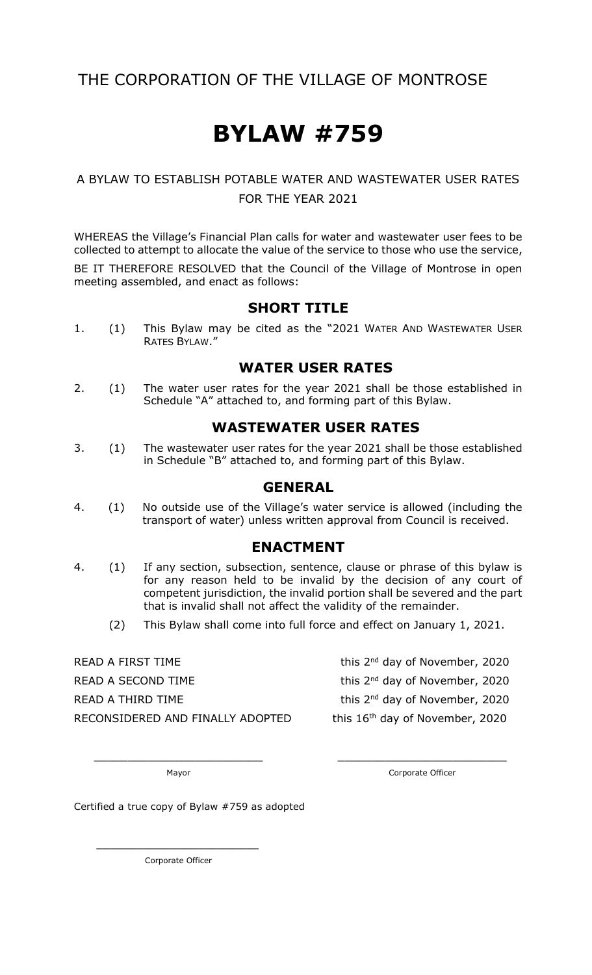# THE CORPORATION OF THE VILLAGE OF MONTROSE

# **BYLAW #759**

### A BYLAW TO ESTABLISH POTABLE WATER AND WASTEWATER USER RATES FOR THE YEAR 2021

WHEREAS the Village's Financial Plan calls for water and wastewater user fees to be collected to attempt to allocate the value of the service to those who use the service,

BE IT THEREFORE RESOLVED that the Council of the Village of Montrose in open meeting assembled, and enact as follows:

#### **SHORT TITLE**

1. (1) This Bylaw may be cited as the "2021 WATER AND WASTEWATER USER RATES BYLAW."

#### **WATER USER RATES**

2. (1) The water user rates for the year 2021 shall be those established in Schedule "A" attached to, and forming part of this Bylaw.

#### **WASTEWATER USER RATES**

3. (1) The wastewater user rates for the year 2021 shall be those established in Schedule "B" attached to, and forming part of this Bylaw.

#### **GENERAL**

4. (1) No outside use of the Village's water service is allowed (including the transport of water) unless written approval from Council is received.

#### **ENACTMENT**

- 4. (1) If any section, subsection, sentence, clause or phrase of this bylaw is for any reason held to be invalid by the decision of any court of competent jurisdiction, the invalid portion shall be severed and the part that is invalid shall not affect the validity of the remainder.
	- (2) This Bylaw shall come into full force and effect on January 1, 2021.

\_\_\_\_\_\_\_\_\_\_\_\_\_\_\_\_\_\_\_\_\_\_\_\_\_ \_\_\_\_\_\_\_\_\_\_\_\_\_\_\_\_\_\_\_\_\_\_\_\_\_

READ A FIRST TIME READ A SECOND TIME READ A THIRD TIME RECONSIDERED AND FINALLY ADOPTED this 16<sup>th</sup> day of November, 2020

this  $2<sup>nd</sup>$  day of November, 2020

this 2<sup>nd</sup> day of November, 2020

this 2<sup>nd</sup> day of November, 2020

Mayor **Mayor** Corporate Officer

Certified a true copy of Bylaw #759 as adopted

Corporate Officer

 $\overline{\phantom{a}}$  ,  $\overline{\phantom{a}}$  ,  $\overline{\phantom{a}}$  ,  $\overline{\phantom{a}}$  ,  $\overline{\phantom{a}}$  ,  $\overline{\phantom{a}}$  ,  $\overline{\phantom{a}}$  ,  $\overline{\phantom{a}}$  ,  $\overline{\phantom{a}}$  ,  $\overline{\phantom{a}}$  ,  $\overline{\phantom{a}}$  ,  $\overline{\phantom{a}}$  ,  $\overline{\phantom{a}}$  ,  $\overline{\phantom{a}}$  ,  $\overline{\phantom{a}}$  ,  $\overline{\phantom{a}}$